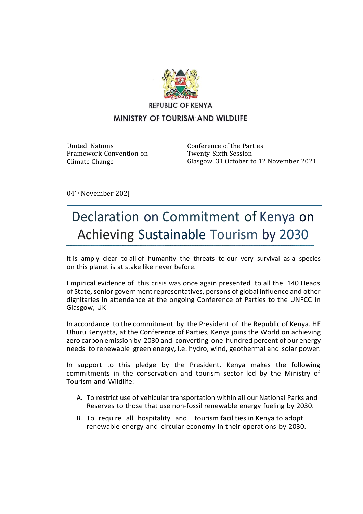

**REPUBLIC OF KENYA** 

## MINISTRY OF TOURISM AND WILDLIFE

United Nations Framework Convention on Climate Change

Conference of the Parties Twenty-Sixth Session Glasgow, 31 October to 12 November 2021

04'<sup>h</sup> November 202J

## Declaration on Commitment of Kenya on Achieving Sustainable Tourism by 2030

It is amply clear to all of humanity the threats to our very survival as a species on this planet is at stake like never before.

Empirical evidence of this crisis was once again presented to all the 140 Heads of State, senior government representatives, persons of global influence and other dignitaries in attendance at the ongoing Conference of Parties to the UNFCC in Glasgow, UK

In accordance to the commitment by the President of the Republic of Kenya. HE Uhuru Kenyatta, at the Conference of Parties, Kenya joins the World on achieving zero carbon emission by 2030 and converting one hundred percent of our energy needs to renewable green energy, i.e. hydro, wind, geothermal and solar power.

In support to this pledge by the President, Kenya makes the following commitments in the conservation and tourism sector led by the Ministry of Tourism and Wildlife:

- A. To restrict use of vehicular transportation within all our National Parks and Reserves to those that use non-fossil renewable energy fueling by 2030.
- B. To require all hospitality and tourism facilities in Kenya to adopt renewable energy and circular economy in their operations by 2030.